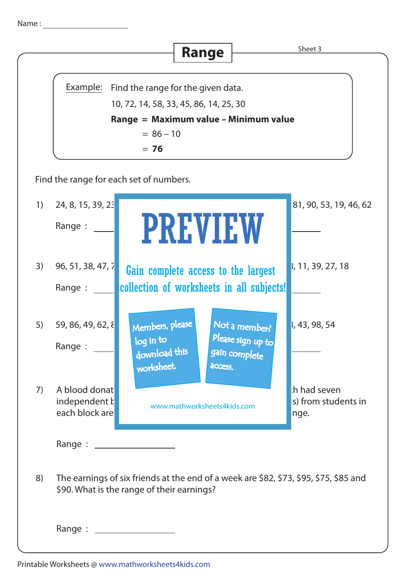|                                         |                                                                                 |                                                                | Range                               |                                                     | Sheet 3                                                                               |
|-----------------------------------------|---------------------------------------------------------------------------------|----------------------------------------------------------------|-------------------------------------|-----------------------------------------------------|---------------------------------------------------------------------------------------|
|                                         |                                                                                 |                                                                |                                     |                                                     |                                                                                       |
|                                         | Example:<br>Find the range for the given data.                                  |                                                                |                                     |                                                     |                                                                                       |
|                                         | 10, 72, 14, 58, 33, 45, 86, 14, 25, 30<br>Range = Maximum value - Minimum value |                                                                |                                     |                                                     |                                                                                       |
|                                         | $= 86 - 10$                                                                     |                                                                |                                     |                                                     |                                                                                       |
|                                         | $= 76$                                                                          |                                                                |                                     |                                                     |                                                                                       |
| Find the range for each set of numbers. |                                                                                 |                                                                |                                     |                                                     |                                                                                       |
| 1)                                      | 24, 8, 15, 39, 23                                                               |                                                                |                                     |                                                     | 81, 90, 53, 19, 46, 62                                                                |
|                                         | Range :                                                                         |                                                                | <b>PREVIEW</b>                      |                                                     |                                                                                       |
| 3)                                      | 96, 51, 38, 47, 7                                                               |                                                                | Gain complete access to the largest |                                                     | 3, 11, 39, 27, 18                                                                     |
|                                         | Range :                                                                         |                                                                |                                     | collection of worksheets in all subjects!           |                                                                                       |
| 5)                                      | 59, 86, 49, 62, 8<br>Range :                                                    | Members, please<br>$\log$ in to<br>download this<br>worksheet. | access.                             | Not a member?<br>Please sign up to<br>gain complete | 3, 43, 98, 54                                                                         |
| 7)                                      | A blood donat<br>independent k<br>each block are                                | www.mathworksheets4kids.com                                    |                                     | h had seven<br>s) from students in<br>nge.          |                                                                                       |
|                                         | Range : _____________________                                                   |                                                                |                                     |                                                     |                                                                                       |
| 8)                                      | \$90. What is the range of their earnings?                                      |                                                                |                                     |                                                     | The earnings of six friends at the end of a week are \$82, \$73, \$95, \$75, \$85 and |
|                                         | Range : _____________________                                                   |                                                                |                                     |                                                     |                                                                                       |

Name :